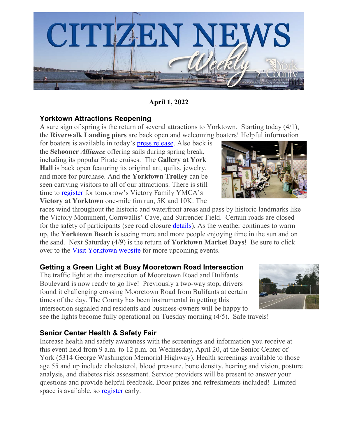

**April 1, 2022**

### **Yorktown Attractions Reopening**

A sure sign of spring is the return of several attractions to Yorktown. Starting today (4/1), the **Riverwalk Landing piers** are back open and welcoming boaters! Helpful information

for boaters is available in today's [press release.](https://www.yorkcounty.gov/DocumentCenter/View/40843/Riverwalk-Landing-Piers-Reopen-for-the-Season) Also back is the **Schooner** *Alliance* offering sails during spring break, including its popular Pirate cruises. The **Gallery at York Hall** is back open featuring its original art, quilts, jewelry, and more for purchase. And the **Yorktown Trolley** can be seen carrying visitors to all of our attractions. There is still time to [register](https://runsignup.com/Race/Register/?raceId=107077) for tomorrow's Victory Family YMCA's **Victory at Yorktown** one-mile fun run, 5K and 10K. The

races wind throughout the historic and waterfront areas and pass by historic landmarks like the Victory Monument, Cornwallis' Cave, and Surrender Field. Certain roads are closed for the safety of participants (see road closure [details\)](https://www.yorkcounty.gov/DocumentCenter/View/40654/Street-Closures-for-7th-Annual-YMCA-Victory-at-Yorktown-1-Mile-Fun-Run-5K-10K-on-Saturday-April-2). As the weather continues to warm up, the **Yorktown Beach** is seeing more and more people enjoying time in the sun and on the sand. Next Saturday (4/9) is the return of **Yorktown Market Days**! Be sure to click over to the [Visit Yorktown website](https://www.visityorktown.org/) for more upcoming events.

# **Getting a Green Light at Busy Mooretown Road Intersection**

The traffic light at the intersection of Mooretown Road and Bulifants Boulevard is now ready to go live! Previously a two-way stop, drivers found it challenging crossing Mooretown Road from Bulifants at certain times of the day. The County has been instrumental in getting this intersection signaled and residents and business-owners will be happy to see the lights become fully operational on Tuesday morning (4/5). Safe travels!



# **Senior Center Health & Safety Fair**

Increase health and safety awareness with the screenings and information you receive at this event held from 9 a.m. to 12 p.m. on Wednesday, April 20, at the Senior Center of York (5314 George Washington Memorial Highway). Health screenings available to those age 55 and up include cholesterol, blood pressure, bone density, hearing and vision, posture analysis, and diabetes risk assessment. Service providers will be present to answer your questions and provide helpful feedback. Door prizes and refreshments included! Limited space is available, so **register** early.